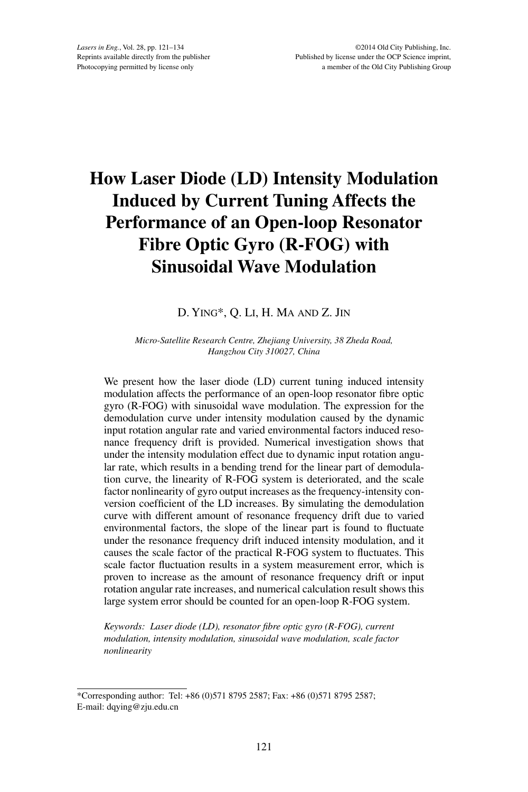# **How Laser Diode (LD) Intensity Modulation Induced by Current Tuning Affects the Performance of an Open-loop Resonator Fibre Optic Gyro (R-FOG) with Sinusoidal Wave Modulation**

# D. Ying\*, Q. Li, H. Ma and Z. Jin

#### *Micro-Satellite Research Centre, Zhejiang University, 38 Zheda Road, Hangzhou City 310027, China*

We present how the laser diode (LD) current tuning induced intensity modulation affects the performance of an open-loop resonator fibre optic gyro (R-FOG) with sinusoidal wave modulation. The expression for the demodulation curve under intensity modulation caused by the dynamic input rotation angular rate and varied environmental factors induced resonance frequency drift is provided. Numerical investigation shows that under the intensity modulation effect due to dynamic input rotation angular rate, which results in a bending trend for the linear part of demodulation curve, the linearity of R-FOG system is deteriorated, and the scale factor nonlinearity of gyro output increases as the frequency-intensity conversion coefficient of the LD increases. By simulating the demodulation curve with different amount of resonance frequency drift due to varied environmental factors, the slope of the linear part is found to fluctuate under the resonance frequency drift induced intensity modulation, and it causes the scale factor of the practical R-FOG system to fluctuates. This scale factor fluctuation results in a system measurement error, which is proven to increase as the amount of resonance frequency drift or input rotation angular rate increases, and numerical calculation result shows this large system error should be counted for an open-loop R-FOG system.

*Keywords: Laser diode (LD), resonator fibre optic gyro (R-FOG), current modulation, intensity modulation, sinusoidal wave modulation, scale factor nonlinearity*

<sup>\*</sup>Corresponding author: Tel: +86 (0)571 8795 2587; Fax: +86 (0)571 8795 2587; E-mail: dqying@zju.edu.cn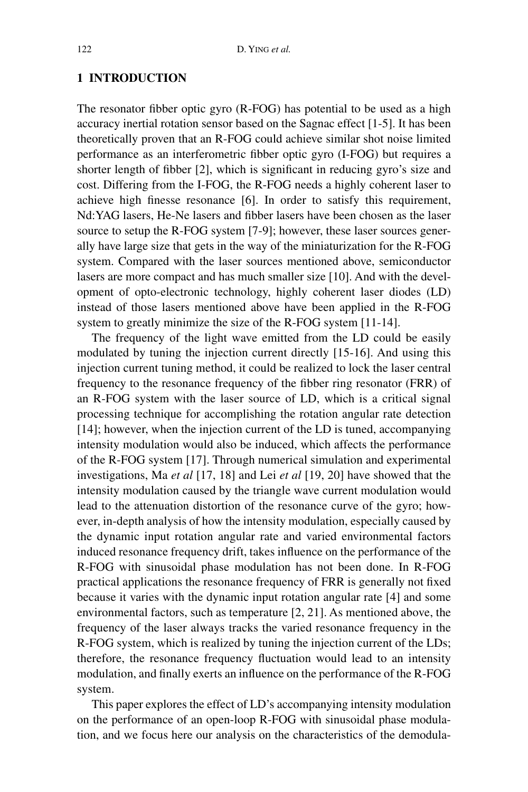# **1 INTRODUCTION**

The resonator fibber optic gyro (R-FOG) has potential to be used as a high accuracy inertial rotation sensor based on the Sagnac effect [1-5]. It has been theoretically proven that an R-FOG could achieve similar shot noise limited performance as an interferometric fibber optic gyro (I-FOG) but requires a shorter length of fibber [2], which is significant in reducing gyro's size and cost. Differing from the I-FOG, the R-FOG needs a highly coherent laser to achieve high finesse resonance [6]. In order to satisfy this requirement, Nd:YAG lasers, He-Ne lasers and fibber lasers have been chosen as the laser source to setup the R-FOG system [7-9]; however, these laser sources generally have large size that gets in the way of the miniaturization for the R-FOG system. Compared with the laser sources mentioned above, semiconductor lasers are more compact and has much smaller size [10]. And with the development of opto-electronic technology, highly coherent laser diodes (LD) instead of those lasers mentioned above have been applied in the R-FOG system to greatly minimize the size of the R-FOG system [11-14].

The frequency of the light wave emitted from the LD could be easily modulated by tuning the injection current directly [15-16]. And using this injection current tuning method, it could be realized to lock the laser central frequency to the resonance frequency of the fibber ring resonator (FRR) of an R-FOG system with the laser source of LD, which is a critical signal processing technique for accomplishing the rotation angular rate detection [14]; however, when the injection current of the LD is tuned, accompanying intensity modulation would also be induced, which affects the performance of the R-FOG system [17]. Through numerical simulation and experimental investigations, Ma *et al* [17, 18] and Lei *et al* [19, 20] have showed that the intensity modulation caused by the triangle wave current modulation would lead to the attenuation distortion of the resonance curve of the gyro; however, in-depth analysis of how the intensity modulation, especially caused by the dynamic input rotation angular rate and varied environmental factors induced resonance frequency drift, takes influence on the performance of the R-FOG with sinusoidal phase modulation has not been done. In R-FOG practical applications the resonance frequency of FRR is generally not fixed because it varies with the dynamic input rotation angular rate [4] and some environmental factors, such as temperature [2, 21]. As mentioned above, the frequency of the laser always tracks the varied resonance frequency in the R-FOG system, which is realized by tuning the injection current of the LDs; therefore, the resonance frequency fluctuation would lead to an intensity modulation, and finally exerts an influence on the performance of the R-FOG system.

This paper explores the effect of LD's accompanying intensity modulation on the performance of an open-loop R-FOG with sinusoidal phase modulation, and we focus here our analysis on the characteristics of the demodula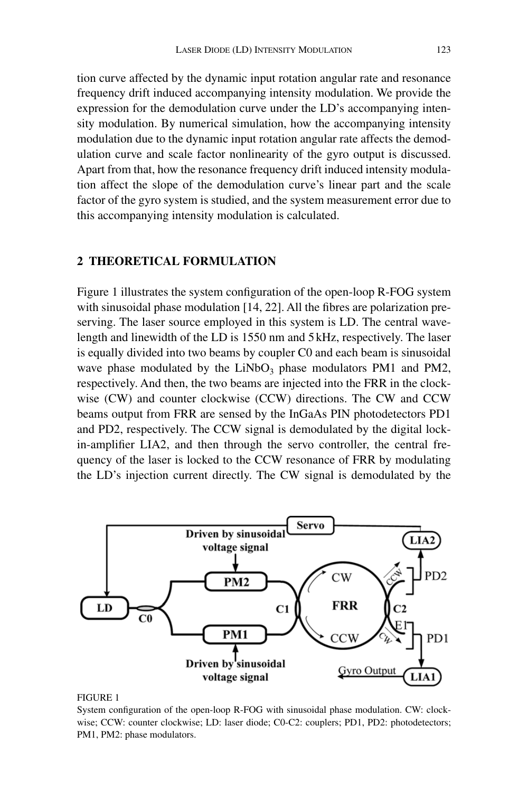tion curve affected by the dynamic input rotation angular rate and resonance frequency drift induced accompanying intensity modulation. We provide the expression for the demodulation curve under the LD's accompanying intensity modulation. By numerical simulation, how the accompanying intensity modulation due to the dynamic input rotation angular rate affects the demodulation curve and scale factor nonlinearity of the gyro output is discussed. Apart from that, how the resonance frequency drift induced intensity modulation affect the slope of the demodulation curve's linear part and the scale factor of the gyro system is studied, and the system measurement error due to this accompanying intensity modulation is calculated.

# **2 THEORETICAL FORMULATION**

Figure 1 illustrates the system configuration of the open-loop R-FOG system with sinusoidal phase modulation [14, 22]. All the fibres are polarization preserving. The laser source employed in this system is LD. The central wavelength and linewidth of the LD is 1550 nm and 5kHz, respectively. The laser is equally divided into two beams by coupler C0 and each beam is sinusoidal wave phase modulated by the  $LiNbO<sub>3</sub>$  phase modulators PM1 and PM2, respectively. And then, the two beams are injected into the FRR in the clockwise (CW) and counter clockwise (CCW) directions. The CW and CCW beams output from FRR are sensed by the InGaAs PIN photodetectors PD1 and PD2, respectively. The CCW signal is demodulated by the digital lockin-amplifier LIA2, and then through the servo controller, the central frequency of the laser is locked to the CCW resonance of FRR by modulating the LD's injection current directly. The CW signal is demodulated by the



#### FIGURE 1

System configuration of the open-loop R-FOG with sinusoidal phase modulation. CW: clockwise; CCW: counter clockwise; LD: laser diode; C0-C2: couplers; PD1, PD2: photodetectors; PM1, PM2: phase modulators.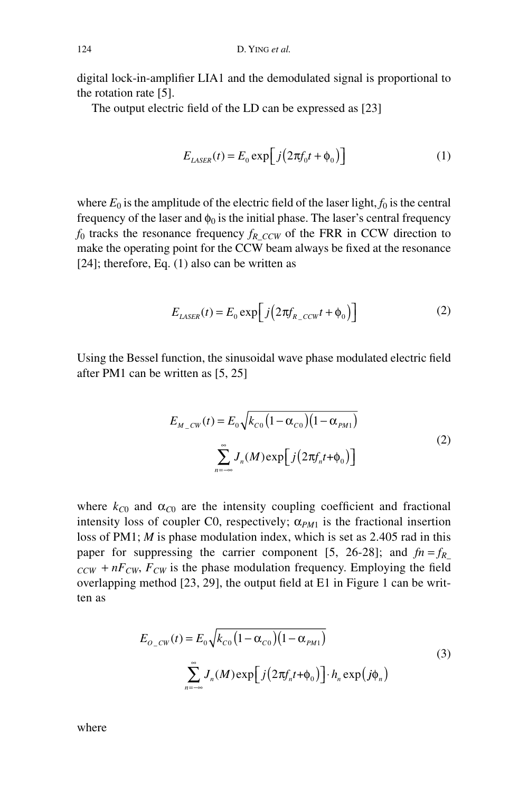digital lock-in-amplifier LIA1 and the demodulated signal is proportional to the rotation rate [5].

The output electric field of the LD can be expressed as [23]

$$
E_{LASER}(t) = E_0 \exp\left[j\left(2\pi f_0 t + \phi_0\right)\right]
$$
 (1)

where  $E_0$  is the amplitude of the electric field of the laser light,  $f_0$  is the central frequency of the laser and  $\phi_0$  is the initial phase. The laser's central frequency  $f_0$  tracks the resonance frequency  $f_R$   $_{CCW}$  of the FRR in CCW direction to make the operating point for the CCW beam always be fixed at the resonance [24]; therefore, Eq. (1) also can be written as

$$
E_{LASER}(t) = E_0 \exp\left[j\left(2\pi f_{R\_CCW}t + \phi_0\right)\right]
$$
 (2)

Using the Bessel function, the sinusoidal wave phase modulated electric field after PM1 can be written as [5, 25]

$$
E_{M_{-CW}}(t) = E_0 \sqrt{k_{C0} (1 - \alpha_{C0}) (1 - \alpha_{PM1})}
$$
  

$$
\sum_{n = -\infty}^{\infty} J_n(M) \exp\left[j(2\pi f_n t + \phi_0)\right]
$$
 (2)

where  $k_{C0}$  and  $\alpha_{C0}$  are the intensity coupling coefficient and fractional intensity loss of coupler C0, respectively;  $\alpha_{PM1}$  is the fractional insertion loss of PM1; *M* is phase modulation index, which is set as 2.405 rad in this paper for suppressing the carrier component [5, 26-28]; and  $fn = f_R$  $CCW + nF_{CW}$ ,  $F_{CW}$  is the phase modulation frequency. Employing the field overlapping method [23, 29], the output field at E1 in Figure 1 can be written as

$$
E_{O_{C}}(t) = E_{0} \sqrt{k_{C0} (1 - \alpha_{C0}) (1 - \alpha_{PM1})}
$$
  

$$
\sum_{n = -\infty}^{\infty} J_{n}(M) \exp \left[ j (2\pi f_{n} t + \phi_{0}) \right] \cdot h_{n} \exp(j\phi_{n})
$$
 (3)

where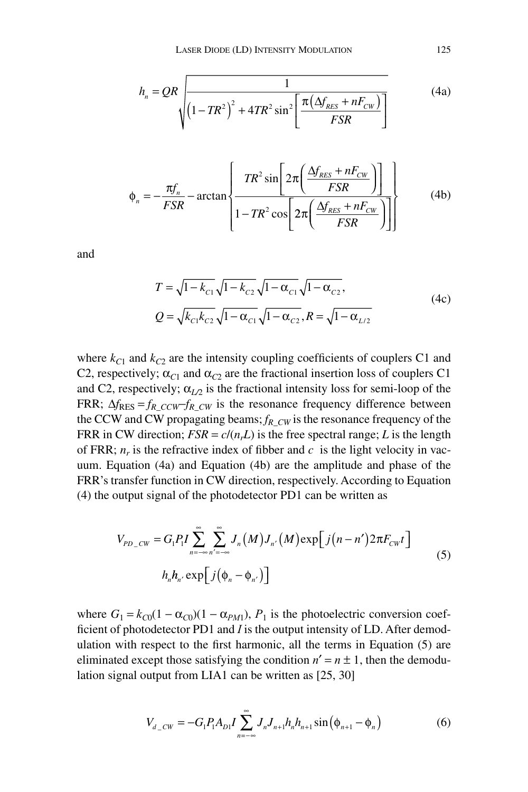$$
h_n = QR \sqrt{\frac{1}{\left(1 - TR^2\right)^2 + 4TR^2 \sin^2\left[\frac{\pi\left(\Delta f_{RES} + nF_{CW}\right)}{FSR}\right]}}
$$
(4a)

$$
\phi_n = -\frac{\pi f_n}{FSR} - \arctan\left\{\frac{TR^2 \sin\left[2\pi \left(\frac{\Delta f_{RES} + nF_{CW}}{FSR}\right)\right]}{1 - TR^2 \cos\left[2\pi \left(\frac{\Delta f_{RES} + nF_{CW}}{FSR}\right)\right]}\right\}
$$
(4b)

and

$$
T = \sqrt{1 - k_{c1}} \sqrt{1 - k_{c2}} \sqrt{1 - \alpha_{c1}} \sqrt{1 - \alpha_{c2}},
$$
  
\n
$$
Q = \sqrt{k_{c1} k_{c2}} \sqrt{1 - \alpha_{c1}} \sqrt{1 - \alpha_{c2}}, R = \sqrt{1 - \alpha_{L/2}}
$$
\n(4c)

where  $k_{C1}$  and  $k_{C2}$  are the intensity coupling coefficients of couplers C1 and C2, respectively;  $\alpha_{C1}$  and  $\alpha_{C2}$  are the fractional insertion loss of couplers C1 and C2, respectively;  $\alpha_{L2}$  is the fractional intensity loss for semi-loop of the FRR;  $\Delta f_{RES} = f_R$  *ccw*-*f<sub>R</sub> cw* is the resonance frequency difference between the CCW and CW propagating beams;  $f_{R\_CW}$  is the resonance frequency of the FRR in CW direction;  $FSR = c/(n<sub>r</sub>L)$  is the free spectral range; *L* is the length of FRR;  $n_r$  is the refractive index of fibber and  $c$  is the light velocity in vacuum. Equation (4a) and Equation (4b) are the amplitude and phase of the FRR's transfer function in CW direction, respectively. According to Equation (4) the output signal of the photodetector PD1 can be written as

$$
V_{PD\_CW} = G_1 P_1 I \sum_{n = -\infty}^{\infty} \sum_{n' = -\infty}^{\infty} J_n(M) J_{n'}(M) \exp[j(n - n') 2\pi F_{CW} t]
$$
  

$$
h_n h_{n'} \exp[j(\phi_n - \phi_{n'})]
$$
 (5)

where  $G_1 = k_{C0}(1 - \alpha_{C0})(1 - \alpha_{PML})$ ,  $P_1$  is the photoelectric conversion coefficient of photodetector PD1 and *I* is the output intensity of LD. After demodulation with respect to the first harmonic, all the terms in Equation (5) are eliminated except those satisfying the condition  $n' = n \pm 1$ , then the demodulation signal output from LIA1 can be written as [25, 30]

$$
V_{d\_cw} = -G_1 P_1 A_{D1} I \sum_{n=-\infty}^{\infty} J_n J_{n+1} h_n h_{n+1} \sin(\phi_{n+1} - \phi_n)
$$
 (6)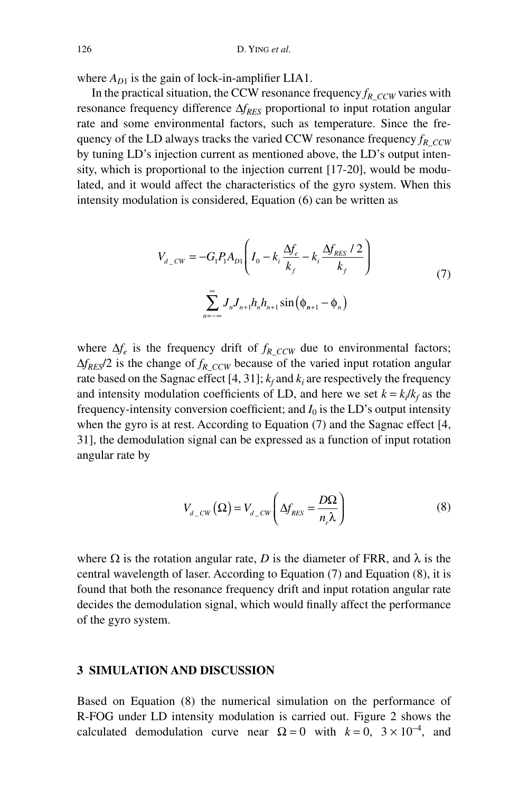where  $A_{D1}$  is the gain of lock-in-amplifier LIA1.

In the practical situation, the CCW resonance frequency  $f_R$   $_{CCW}$  varies with resonance frequency difference  $\Delta f_{RES}$  proportional to input rotation angular rate and some environmental factors, such as temperature. Since the frequency of the LD always tracks the varied CCW resonance frequency  $f_R$   $_{CCW}$ by tuning LD's injection current as mentioned above, the LD's output intensity, which is proportional to the injection current [17-20], would be modulated, and it would affect the characteristics of the gyro system. When this intensity modulation is considered, Equation (6) can be written as

$$
V_{d\_cw} = -G_1 P_1 A_{D1} \left( I_0 - k_i \frac{\Delta f_e}{k_f} - k_i \frac{\Delta f_{RES} / 2}{k_f} \right)
$$
  

$$
\sum_{n=-\infty}^{\infty} J_n J_{n+1} h_n h_{n+1} \sin(\phi_{n+1} - \phi_n)
$$
 (7)

where  $\Delta f_e$  is the frequency drift of  $f_R$  ccw due to environmental factors;  $\Delta f_{RES}/2$  is the change of  $f_{RCCW}$  because of the varied input rotation angular rate based on the Sagnac effect  $[4, 31]$ ;  $k_f$  and  $k_i$  are respectively the frequency and intensity modulation coefficients of LD, and here we set  $k = k_i / k_f$  as the frequency-intensity conversion coefficient; and  $I_0$  is the LD's output intensity when the gyro is at rest. According to Equation (7) and the Sagnac effect [4, 31], the demodulation signal can be expressed as a function of input rotation angular rate by

$$
V_{d\_cw}(\Omega) = V_{d\_cw} \left( \Delta f_{RES} = \frac{D\Omega}{n_r \lambda} \right)
$$
 (8)

where  $\Omega$  is the rotation angular rate, *D* is the diameter of FRR, and  $\lambda$  is the central wavelength of laser. According to Equation (7) and Equation (8), it is found that both the resonance frequency drift and input rotation angular rate decides the demodulation signal, which would finally affect the performance of the gyro system.

## **3 SIMULATION AND DISCUSSION**

Based on Equation (8) the numerical simulation on the performance of R-FOG under LD intensity modulation is carried out. Figure 2 shows the calculated demodulation curve near  $\Omega = 0$  with  $k = 0$ ,  $3 \times 10^{-4}$ , and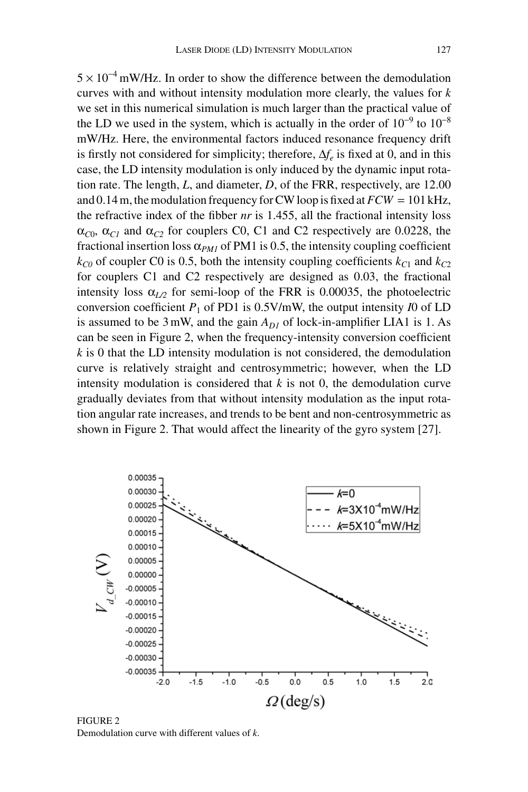$5 \times 10^{-4}$  mW/Hz. In order to show the difference between the demodulation curves with and without intensity modulation more clearly, the values for *k* we set in this numerical simulation is much larger than the practical value of the LD we used in the system, which is actually in the order of  $10^{-9}$  to  $10^{-8}$ mW/Hz. Here, the environmental factors induced resonance frequency drift is firstly not considered for simplicity; therefore,  $\Delta f_e$  is fixed at 0, and in this case, the LD intensity modulation is only induced by the dynamic input rotation rate. The length, *L*, and diameter, *D*, of the FRR, respectively, are 12.00 and 0.14 m, the modulation frequency for CW loop is fixed at  $FCW = 101$  kHz, the refractive index of the fibber *nr* is 1.455, all the fractional intensity loss  $\alpha_{C0}$ ,  $\alpha_{C1}$  and  $\alpha_{C2}$  for couplers C0, C1 and C2 respectively are 0.0228, the fractional insertion loss  $\alpha_{PMI}$  of PM1 is 0.5, the intensity coupling coefficient  $k_{C0}$  of coupler C0 is 0.5, both the intensity coupling coefficients  $k_{C1}$  and  $k_{C2}$ for couplers C1 and C2 respectively are designed as 0.03, the fractional intensity loss  $\alpha_{L2}$  for semi-loop of the FRR is 0.00035, the photoelectric conversion coefficient  $P_1$  of PD1 is 0.5V/mW, the output intensity *I*0 of LD is assumed to be 3mW, and the gain  $A_{DI}$  of lock-in-amplifier LIA1 is 1. As can be seen in Figure 2, when the frequency-intensity conversion coefficient *k* is 0 that the LD intensity modulation is not considered, the demodulation curve is relatively straight and centrosymmetric; however, when the LD intensity modulation is considered that *k* is not 0, the demodulation curve gradually deviates from that without intensity modulation as the input rotation angular rate increases, and trends to be bent and non-centrosymmetric as shown in Figure 2. That would affect the linearity of the gyro system [27].



FIGURE 2 Demodulation curve with different values of *k*.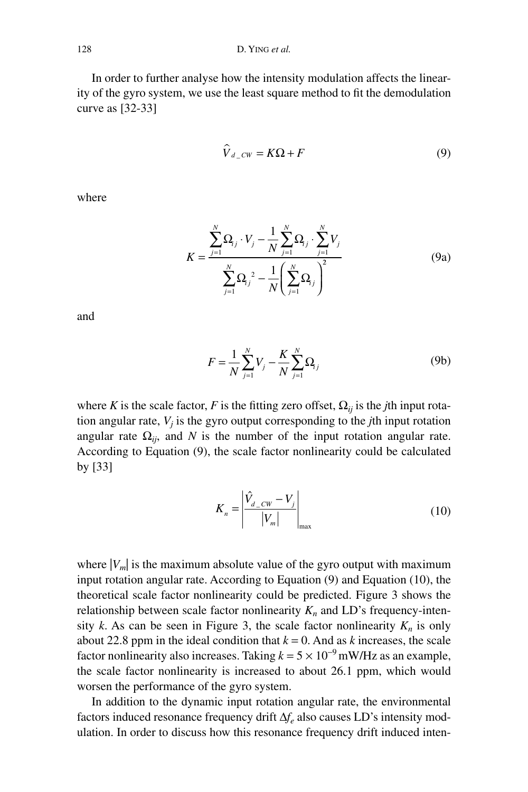In order to further analyse how the intensity modulation affects the linearity of the gyro system, we use the least square method to fit the demodulation curve as [32-33]

$$
\widehat{V}_{d\_cw} = K\Omega + F \tag{9}
$$

where

$$
K = \frac{\sum_{j=1}^{N} \Omega_{j} \cdot V_{j} - \frac{1}{N} \sum_{j=1}^{N} \Omega_{j} \cdot \sum_{j=1}^{N} V_{j}}{\sum_{j=1}^{N} \Omega_{j}^{2} - \frac{1}{N} \left( \sum_{j=1}^{N} \Omega_{j} \right)^{2}}
$$
(9a)

and

$$
F = \frac{1}{N} \sum_{j=1}^{N} V_j - \frac{K}{N} \sum_{j=1}^{N} \Omega_j
$$
 (9b)

where *K* is the scale factor, *F* is the fitting zero offset,  $\Omega_{ij}$  is the *j*th input rotation angular rate, *Vj* is the gyro output corresponding to the *j*th input rotation angular rate  $\Omega_{ij}$ , and *N* is the number of the input rotation angular rate. According to Equation (9), the scale factor nonlinearity could be calculated by [33]

$$
K_n = \left| \frac{\hat{V}_{d\_cw} - V_j}{|V_m|} \right|_{\text{max}} \tag{10}
$$

where  $|V_m|$  is the maximum absolute value of the gyro output with maximum input rotation angular rate. According to Equation (9) and Equation (10), the theoretical scale factor nonlinearity could be predicted. Figure 3 shows the relationship between scale factor nonlinearity  $K_n$  and LD's frequency-intensity *k*. As can be seen in Figure 3, the scale factor nonlinearity  $K_n$  is only about 22.8 ppm in the ideal condition that  $k = 0$ . And as *k* increases, the scale factor nonlinearity also increases. Taking  $k = 5 \times 10^{-9}$  mW/Hz as an example, the scale factor nonlinearity is increased to about 26.1 ppm, which would worsen the performance of the gyro system.

In addition to the dynamic input rotation angular rate, the environmental factors induced resonance frequency drift  $\Delta f_e$  also causes LD's intensity modulation. In order to discuss how this resonance frequency drift induced inten-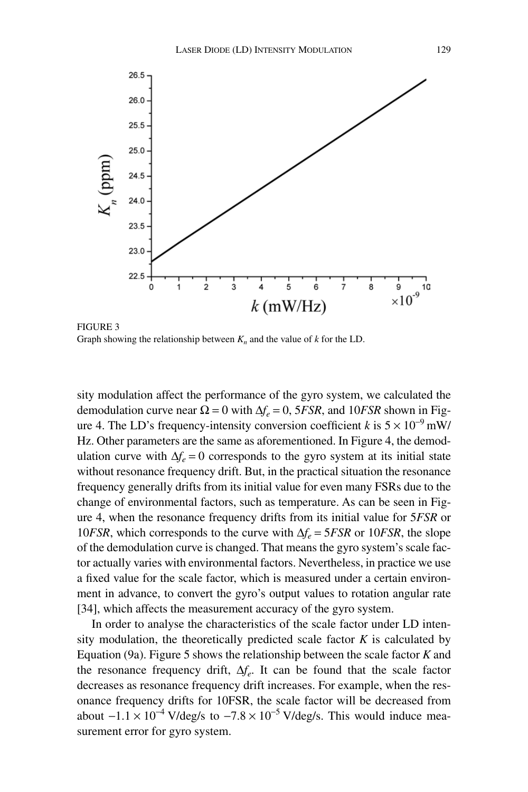

FIGURE 3 Graph showing the relationship between  $K_n$  and the value of  $k$  for the LD.

sity modulation affect the performance of the gyro system, we calculated the demodulation curve near  $\Omega = 0$  with  $\Delta f_e = 0$ , 5*FSR*, and 10*FSR* shown in Figure 4. The LD's frequency-intensity conversion coefficient *k* is  $5 \times 10^{-9}$  mW/ Hz. Other parameters are the same as aforementioned. In Figure 4, the demodulation curve with  $\Delta f_e = 0$  corresponds to the gyro system at its initial state without resonance frequency drift. But, in the practical situation the resonance frequency generally drifts from its initial value for even many FSRs due to the change of environmental factors, such as temperature. As can be seen in Figure 4, when the resonance frequency drifts from its initial value for 5*FSR* or 10*FSR*, which corresponds to the curve with  $\Delta f_e = 5FSR$  or 10*FSR*, the slope of the demodulation curve is changed. That means the gyro system's scale factor actually varies with environmental factors. Nevertheless, in practice we use a fixed value for the scale factor, which is measured under a certain environment in advance, to convert the gyro's output values to rotation angular rate [34], which affects the measurement accuracy of the gyro system.

In order to analyse the characteristics of the scale factor under LD intensity modulation, the theoretically predicted scale factor  $K$  is calculated by Equation (9a). Figure 5 shows the relationship between the scale factor *K* and the resonance frequency drift,  $\Delta f_e$ . It can be found that the scale factor decreases as resonance frequency drift increases. For example, when the resonance frequency drifts for 10FSR, the scale factor will be decreased from about  $-1.1 \times 10^{-4}$  V/deg/s to  $-7.8 \times 10^{-5}$  V/deg/s. This would induce measurement error for gyro system.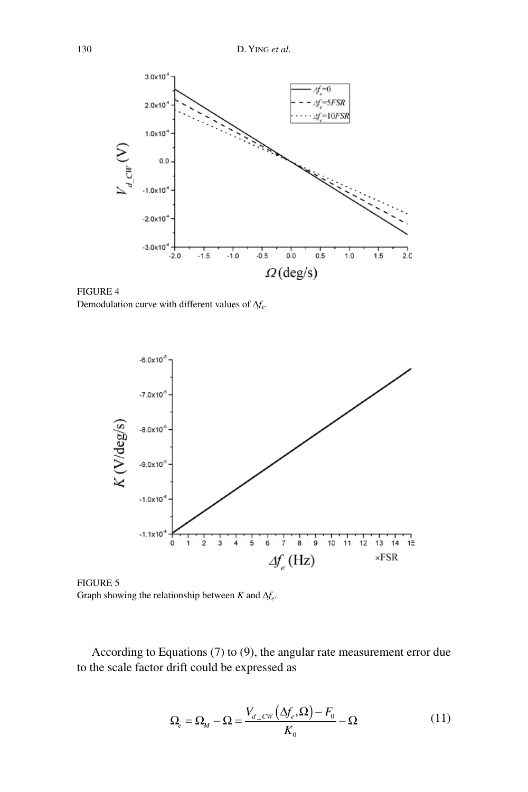

FIGURE 4 Demodulation curve with different values of  $\Delta f_e$ .



FIGURE 5 Graph showing the relationship between  $K$  and  $\Delta f_e$ .

According to Equations (7) to (9), the angular rate measurement error due to the scale factor drift could be expressed as

$$
\Omega_e = \Omega_M - \Omega = \frac{V_{d\_CW}(\Delta f_e, \Omega) - F_0}{K_0} - \Omega \tag{11}
$$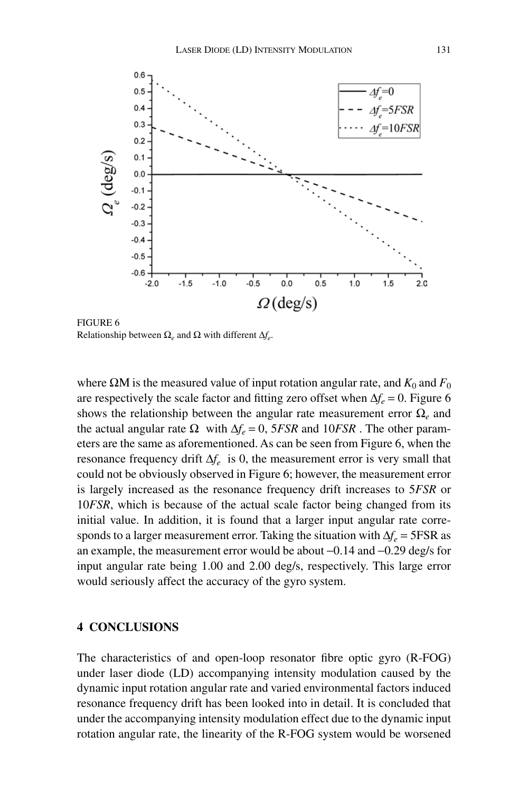

FIGURE 6 Relationship between  $\Omega_e$  and  $\Omega$  with different  $\Delta f_e$ .

where  $\Omega$ M is the measured value of input rotation angular rate, and  $K_0$  and  $F_0$ are respectively the scale factor and fitting zero offset when  $\Delta f_e = 0$ . Figure 6 shows the relationship between the angular rate measurement error  $\Omega$ <sub>e</sub> and the actual angular rate  $\Omega$  with  $\Delta f_e = 0$ , 5*FSR* and 10*FSR*. The other parameters are the same as aforementioned. As can be seen from Figure 6, when the resonance frequency drift  $\Delta f_e$  is 0, the measurement error is very small that could not be obviously observed in Figure 6; however, the measurement error is largely increased as the resonance frequency drift increases to 5*FSR* or 10*FSR*, which is because of the actual scale factor being changed from its initial value. In addition, it is found that a larger input angular rate corresponds to a larger measurement error. Taking the situation with  $\Delta f_e = 5FSR$  as an example, the measurement error would be about  $-0.14$  and  $-0.29$  deg/s for input angular rate being 1.00 and 2.00 deg/s, respectively. This large error would seriously affect the accuracy of the gyro system.

# **4 CONCLUSIONS**

The characteristics of and open-loop resonator fibre optic gyro (R-FOG) under laser diode (LD) accompanying intensity modulation caused by the dynamic input rotation angular rate and varied environmental factors induced resonance frequency drift has been looked into in detail. It is concluded that under the accompanying intensity modulation effect due to the dynamic input rotation angular rate, the linearity of the R-FOG system would be worsened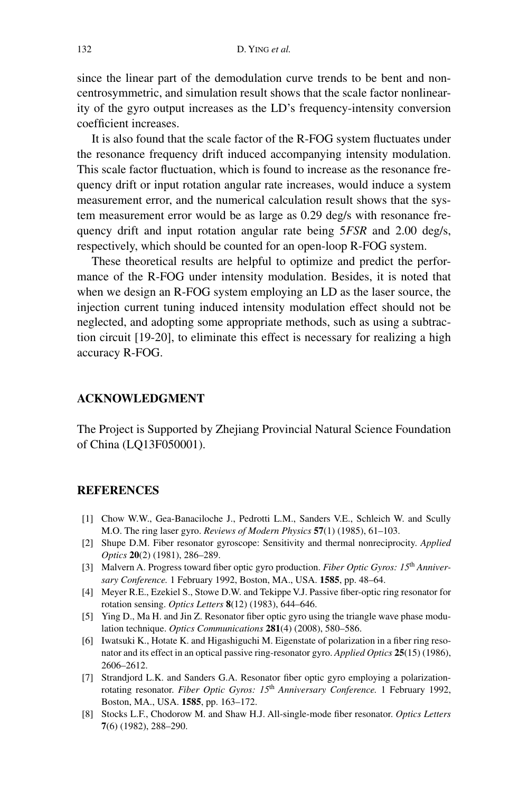since the linear part of the demodulation curve trends to be bent and noncentrosymmetric, and simulation result shows that the scale factor nonlinearity of the gyro output increases as the LD's frequency-intensity conversion coefficient increases.

It is also found that the scale factor of the R-FOG system fluctuates under the resonance frequency drift induced accompanying intensity modulation. This scale factor fluctuation, which is found to increase as the resonance frequency drift or input rotation angular rate increases, would induce a system measurement error, and the numerical calculation result shows that the system measurement error would be as large as 0.29 deg/s with resonance frequency drift and input rotation angular rate being 5*FSR* and 2.00 deg/s, respectively, which should be counted for an open-loop R-FOG system.

These theoretical results are helpful to optimize and predict the performance of the R-FOG under intensity modulation. Besides, it is noted that when we design an R-FOG system employing an LD as the laser source, the injection current tuning induced intensity modulation effect should not be neglected, and adopting some appropriate methods, such as using a subtraction circuit [19-20], to eliminate this effect is necessary for realizing a high accuracy R-FOG.

# **ACKNOWLEDGMENT**

The Project is Supported by Zhejiang Provincial Natural Science Foundation of China (LQ13F050001).

## **REFERENCES**

- [1] Chow W.W., Gea-Banaciloche J., Pedrotti L.M., Sanders V.E., Schleich W. and Scully M.O. The ring laser gyro. *Reviews of Modern Physics* **57**(1) (1985), 61–103.
- [2] Shupe D.M. Fiber resonator gyroscope: Sensitivity and thermal nonreciprocity. *Applied Optics* **20**(2) (1981), 286–289.
- [3] Malvern A. Progress toward fiber optic gyro production. *Fiber Optic Gyros: 15*th *Anniversary Conference.* 1 February 1992, Boston, MA., USA. **1585**, pp. 48–64.
- [4] Meyer R.E., Ezekiel S., Stowe D.W. and Tekippe V.J. Passive fiber-optic ring resonator for rotation sensing. *Optics Letters* **8**(12) (1983), 644–646.
- [5] Ying D., Ma H. and Jin Z. Resonator fiber optic gyro using the triangle wave phase modulation technique. *Optics Communications* **281**(4) (2008), 580–586.
- [6] Iwatsuki K., Hotate K. and Higashiguchi M. Eigenstate of polarization in a fiber ring resonator and its effect in an optical passive ring-resonator gyro. *Applied Optics* **25**(15) (1986), 2606–2612.
- [7] Strandjord L.K. and Sanders G.A. Resonator fiber optic gyro employing a polarizationrotating resonator. *Fiber Optic Gyros: 15*th *Anniversary Conference.* 1 February 1992, Boston, MA., USA. **1585**, pp. 163–172.
- [8] Stocks L.F., Chodorow M. and Shaw H.J. All-single-mode fiber resonator. *Optics Letters* **7**(6) (1982), 288–290.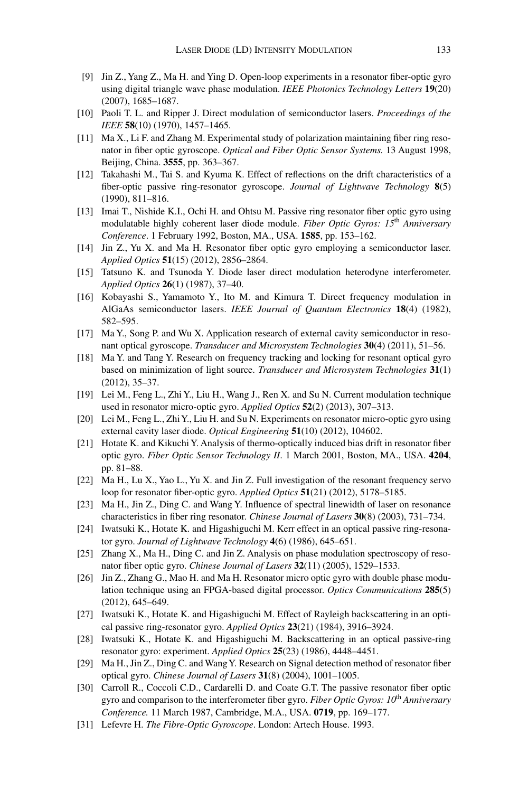- [9] Jin Z., Yang Z., Ma H. and Ying D. Open-loop experiments in a resonator fiber-optic gyro using digital triangle wave phase modulation. *IEEE Photonics Technology Letters* **19**(20) (2007), 1685–1687.
- [10] Paoli T. L. and Ripper J. Direct modulation of semiconductor lasers. *Proceedings of the IEEE* **58**(10) (1970), 1457–1465.
- [11] Ma X., Li F. and Zhang M. Experimental study of polarization maintaining fiber ring resonator in fiber optic gyroscope. *Optical and Fiber Optic Sensor Systems.* 13 August 1998, Beijing, China. **3555**, pp. 363–367.
- [12] Takahashi M., Tai S. and Kyuma K. Effect of reflections on the drift characteristics of a fiber-optic passive ring-resonator gyroscope. *Journal of Lightwave Technology* **8**(5) (1990), 811–816.
- [13] Imai T., Nishide K.I., Ochi H. and Ohtsu M. Passive ring resonator fiber optic gyro using modulatable highly coherent laser diode module. *Fiber Optic Gyros: 15*th *Anniversary Conference*. 1 February 1992, Boston, MA., USA. **1585**, pp. 153–162.
- [14] Jin Z., Yu X. and Ma H. Resonator fiber optic gyro employing a semiconductor laser. *Applied Optics* **51**(15) (2012), 2856–2864.
- [15] Tatsuno K. and Tsunoda Y. Diode laser direct modulation heterodyne interferometer. *Applied Optics* **26**(1) (1987), 37–40.
- [16] Kobayashi S., Yamamoto Y., Ito M. and Kimura T. Direct frequency modulation in AlGaAs semiconductor lasers. *IEEE Journal of Quantum Electronics* **18**(4) (1982), 582–595.
- [17] Ma Y., Song P. and Wu X. Application research of external cavity semiconductor in resonant optical gyroscope. *Transducer and Microsystem Technologies* **30**(4) (2011), 51–56.
- [18] Ma Y. and Tang Y. Research on frequency tracking and locking for resonant optical gyro based on minimization of light source. *Transducer and Microsystem Technologies* **31**(1) (2012), 35–37.
- [19] Lei M., Feng L., Zhi Y., Liu H., Wang J., Ren X. and Su N. Current modulation technique used in resonator micro-optic gyro. *Applied Optics* **52**(2) (2013), 307–313.
- [20] Lei M., Feng L., Zhi Y., Liu H. and Su N. Experiments on resonator micro-optic gyro using external cavity laser diode. *Optical Engineering* **51**(10) (2012), 104602.
- [21] Hotate K. and Kikuchi Y. Analysis of thermo-optically induced bias drift in resonator fiber optic gyro. *Fiber Optic Sensor Technology II*. 1 March 2001, Boston, MA., USA. **4204**, pp. 81–88.
- [22] Ma H., Lu X., Yao L., Yu X. and Jin Z. Full investigation of the resonant frequency servo loop for resonator fiber-optic gyro. *Applied Optics* **51**(21) (2012), 5178–5185.
- [23] Ma H., Jin Z., Ding C. and Wang Y. Influence of spectral linewidth of laser on resonance characteristics in fiber ring resonator. *Chinese Journal of Lasers* **30**(8) (2003), 731–734.
- [24] Iwatsuki K., Hotate K. and Higashiguchi M. Kerr effect in an optical passive ring-resonator gyro. *Journal of Lightwave Technology* **4**(6) (1986), 645–651.
- [25] Zhang X., Ma H., Ding C. and Jin Z. Analysis on phase modulation spectroscopy of resonator fiber optic gyro. *Chinese Journal of Lasers* **32**(11) (2005), 1529–1533.
- [26] Jin Z., Zhang G., Mao H. and Ma H. Resonator micro optic gyro with double phase modulation technique using an FPGA-based digital processor. *Optics Communications* **285**(5) (2012), 645–649.
- [27] Iwatsuki K., Hotate K. and Higashiguchi M. Effect of Rayleigh backscattering in an optical passive ring-resonator gyro. *Applied Optics* **23**(21) (1984), 3916–3924.
- [28] Iwatsuki K., Hotate K. and Higashiguchi M. Backscattering in an optical passive-ring resonator gyro: experiment. *Applied Optics* **25**(23) (1986), 4448–4451.
- [29] Ma H., Jin Z., Ding C. and Wang Y. Research on Signal detection method of resonator fiber optical gyro. *Chinese Journal of Lasers* **31**(8) (2004), 1001–1005.
- [30] Carroll R., Coccoli C.D., Cardarelli D. and Coate G.T. The passive resonator fiber optic gyro and comparison to the interferometer fiber gyro. *Fiber Optic Gyros: 10*th *Anniversary Conference.* 11 March 1987, Cambridge, M.A., USA. **0719**, pp. 169–177.
- [31] Lefevre H. *The Fibre-Optic Gyroscope*. London: Artech House. 1993.